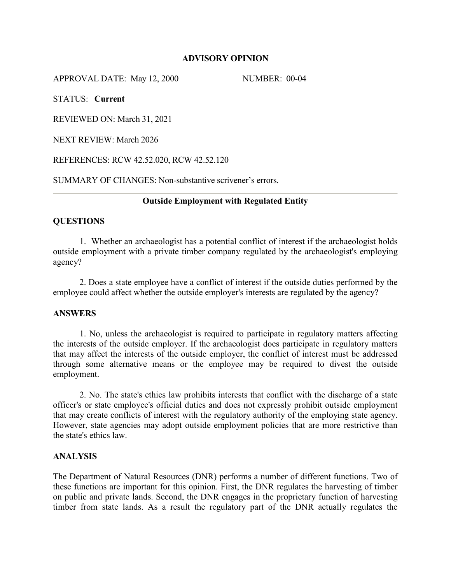## **ADVISORY OPINION**

APPROVAL DATE: May 12, 2000 NUMBER: 00-04

STATUS: **Current**

REVIEWED ON: March 31, 2021

NEXT REVIEW: March 2026

REFERENCES: RCW 42.52.020, RCW 42.52.120

SUMMARY OF CHANGES: Non-substantive scrivener's errors.

# **Outside Employment with Regulated Entity**

# **QUESTIONS**

1. Whether an archaeologist has a potential conflict of interest if the archaeologist holds outside employment with a private timber company regulated by the archaeologist's employing agency?

2. Does a state employee have a conflict of interest if the outside duties performed by the employee could affect whether the outside employer's interests are regulated by the agency?

### **ANSWERS**

1. No, unless the archaeologist is required to participate in regulatory matters affecting the interests of the outside employer. If the archaeologist does participate in regulatory matters that may affect the interests of the outside employer, the conflict of interest must be addressed through some alternative means or the employee may be required to divest the outside employment.

2. No. The state's ethics law prohibits interests that conflict with the discharge of a state officer's or state employee's official duties and does not expressly prohibit outside employment that may create conflicts of interest with the regulatory authority of the employing state agency. However, state agencies may adopt outside employment policies that are more restrictive than the state's ethics law.

### **ANALYSIS**

The Department of Natural Resources (DNR) performs a number of different functions. Two of these functions are important for this opinion. First, the DNR regulates the harvesting of timber on public and private lands. Second, the DNR engages in the proprietary function of harvesting timber from state lands. As a result the regulatory part of the DNR actually regulates the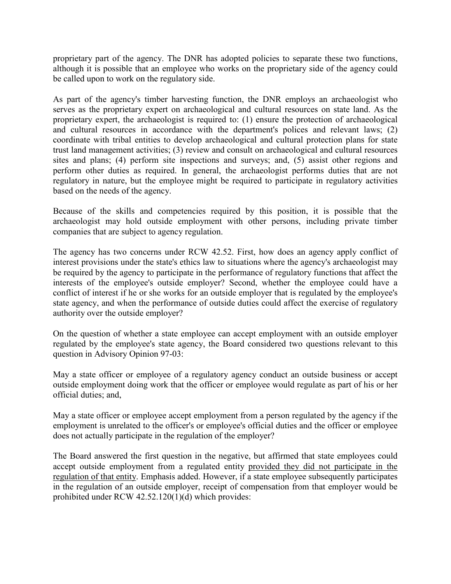proprietary part of the agency. The DNR has adopted policies to separate these two functions, although it is possible that an employee who works on the proprietary side of the agency could be called upon to work on the regulatory side.

As part of the agency's timber harvesting function, the DNR employs an archaeologist who serves as the proprietary expert on archaeological and cultural resources on state land. As the proprietary expert, the archaeologist is required to: (1) ensure the protection of archaeological and cultural resources in accordance with the department's polices and relevant laws; (2) coordinate with tribal entities to develop archaeological and cultural protection plans for state trust land management activities; (3) review and consult on archaeological and cultural resources sites and plans; (4) perform site inspections and surveys; and, (5) assist other regions and perform other duties as required. In general, the archaeologist performs duties that are not regulatory in nature, but the employee might be required to participate in regulatory activities based on the needs of the agency.

Because of the skills and competencies required by this position, it is possible that the archaeologist may hold outside employment with other persons, including private timber companies that are subject to agency regulation.

The agency has two concerns under RCW 42.52. First, how does an agency apply conflict of interest provisions under the state's ethics law to situations where the agency's archaeologist may be required by the agency to participate in the performance of regulatory functions that affect the interests of the employee's outside employer? Second, whether the employee could have a conflict of interest if he or she works for an outside employer that is regulated by the employee's state agency, and when the performance of outside duties could affect the exercise of regulatory authority over the outside employer?

On the question of whether a state employee can accept employment with an outside employer regulated by the employee's state agency, the Board considered two questions relevant to this question in Advisory Opinion 97-03:

May a state officer or employee of a regulatory agency conduct an outside business or accept outside employment doing work that the officer or employee would regulate as part of his or her official duties; and,

May a state officer or employee accept employment from a person regulated by the agency if the employment is unrelated to the officer's or employee's official duties and the officer or employee does not actually participate in the regulation of the employer?

The Board answered the first question in the negative, but affirmed that state employees could accept outside employment from a regulated entity provided they did not participate in the regulation of that entity. Emphasis added. However, if a state employee subsequently participates in the regulation of an outside employer, receipt of compensation from that employer would be prohibited under RCW 42.52.120(1)(d) which provides: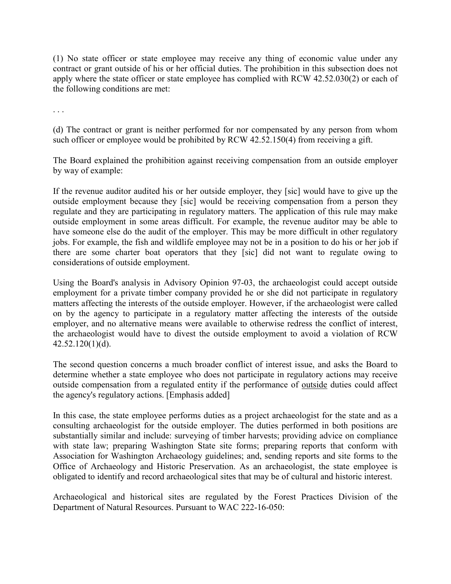(1) No state officer or state employee may receive any thing of economic value under any contract or grant outside of his or her official duties. The prohibition in this subsection does not apply where the state officer or state employee has complied with RCW 42.52.030(2) or each of the following conditions are met:

. . .

(d) The contract or grant is neither performed for nor compensated by any person from whom such officer or employee would be prohibited by RCW 42.52.150(4) from receiving a gift.

The Board explained the prohibition against receiving compensation from an outside employer by way of example:

If the revenue auditor audited his or her outside employer, they [sic] would have to give up the outside employment because they [sic] would be receiving compensation from a person they regulate and they are participating in regulatory matters. The application of this rule may make outside employment in some areas difficult. For example, the revenue auditor may be able to have someone else do the audit of the employer. This may be more difficult in other regulatory jobs. For example, the fish and wildlife employee may not be in a position to do his or her job if there are some charter boat operators that they [sic] did not want to regulate owing to considerations of outside employment.

Using the Board's analysis in Advisory Opinion 97-03, the archaeologist could accept outside employment for a private timber company provided he or she did not participate in regulatory matters affecting the interests of the outside employer. However, if the archaeologist were called on by the agency to participate in a regulatory matter affecting the interests of the outside employer, and no alternative means were available to otherwise redress the conflict of interest, the archaeologist would have to divest the outside employment to avoid a violation of RCW 42.52.120(1)(d).

The second question concerns a much broader conflict of interest issue, and asks the Board to determine whether a state employee who does not participate in regulatory actions may receive outside compensation from a regulated entity if the performance of outside duties could affect the agency's regulatory actions. [Emphasis added]

In this case, the state employee performs duties as a project archaeologist for the state and as a consulting archaeologist for the outside employer. The duties performed in both positions are substantially similar and include: surveying of timber harvests; providing advice on compliance with state law; preparing Washington State site forms; preparing reports that conform with Association for Washington Archaeology guidelines; and, sending reports and site forms to the Office of Archaeology and Historic Preservation. As an archaeologist, the state employee is obligated to identify and record archaeological sites that may be of cultural and historic interest.

Archaeological and historical sites are regulated by the Forest Practices Division of the Department of Natural Resources. Pursuant to WAC 222-16-050: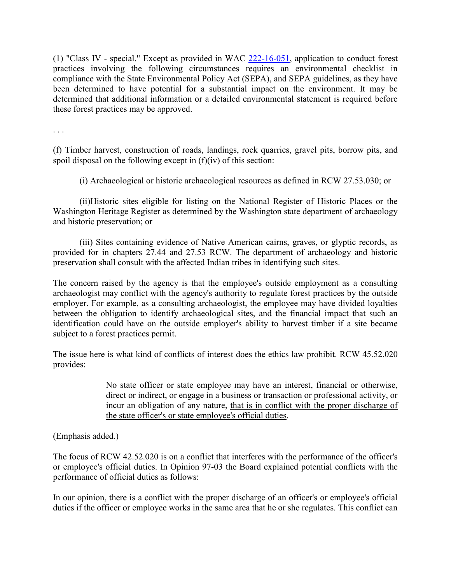(1) "Class IV - special." Except as provided in WAC  $222$ -16-051, application to conduct forest practices involving the following circumstances requires an environmental checklist in compliance with the State Environmental Policy Act (SEPA), and SEPA guidelines, as they have been determined to have potential for a substantial impact on the environment. It may be determined that additional information or a detailed environmental statement is required before these forest practices may be approved.

. . .

(f) Timber harvest, construction of roads, landings, rock quarries, gravel pits, borrow pits, and spoil disposal on the following except in (f)(iv) of this section:

(i) Archaeological or historic archaeological resources as defined in RCW 27.53.030; or

(ii)Historic sites eligible for listing on the National Register of Historic Places or the Washington Heritage Register as determined by the Washington state department of archaeology and historic preservation; or

(iii) Sites containing evidence of Native American cairns, graves, or glyptic records, as provided for in chapters 27.44 and 27.53 RCW. The department of archaeology and historic preservation shall consult with the affected Indian tribes in identifying such sites.

The concern raised by the agency is that the employee's outside employment as a consulting archaeologist may conflict with the agency's authority to regulate forest practices by the outside employer. For example, as a consulting archaeologist, the employee may have divided loyalties between the obligation to identify archaeological sites, and the financial impact that such an identification could have on the outside employer's ability to harvest timber if a site became subject to a forest practices permit.

The issue here is what kind of conflicts of interest does the ethics law prohibit. RCW 45.52.020 provides:

> No state officer or state employee may have an interest, financial or otherwise, direct or indirect, or engage in a business or transaction or professional activity, or incur an obligation of any nature, that is in conflict with the proper discharge of the state officer's or state employee's official duties.

(Emphasis added.)

The focus of RCW 42.52.020 is on a conflict that interferes with the performance of the officer's or employee's official duties. In Opinion 97-03 the Board explained potential conflicts with the performance of official duties as follows:

In our opinion, there is a conflict with the proper discharge of an officer's or employee's official duties if the officer or employee works in the same area that he or she regulates. This conflict can